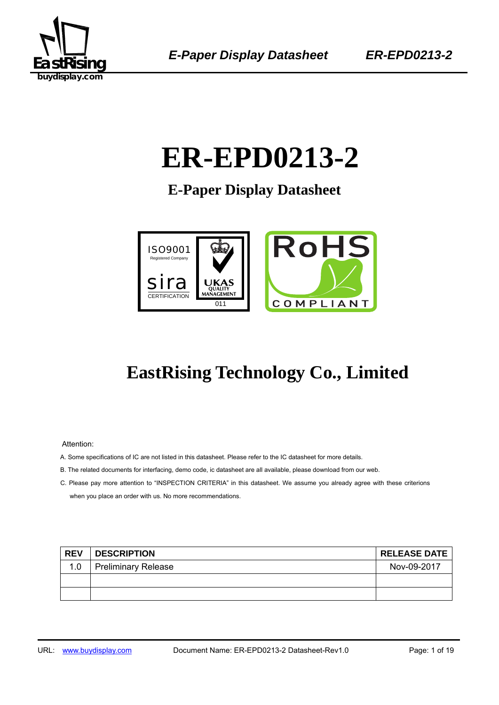

# ER-EPD0213-2

**E-Paper Display Datasheet** 



## **EastRising Technology Co., Limited**

Attention:

- A. Some specifications of IC are not listed in this datasheet. Please refer to the IC datasheet for more details.
- B. The related documents for interfacing, demo code, ic datasheet are all available, please download from our web.
- C. Please pay more attention to "INSPECTION CRITERIA" in this datasheet. We assume you already agree with these criterions when you place an order with us. No more recommendations.

| <b>REV</b> | <b>DESCRIPTION</b>         | <b>RELEASE DATE</b> |
|------------|----------------------------|---------------------|
| 1.0        | <b>Preliminary Release</b> | Nov-09-2017         |
|            |                            |                     |
|            |                            |                     |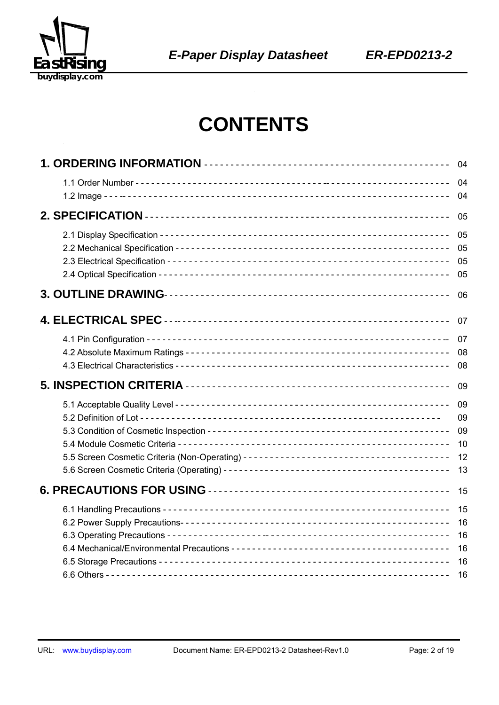

## **CONTENTS**

| 04                   |
|----------------------|
| 04<br>04             |
| 05                   |
| 05<br>05<br>05<br>05 |
| 06                   |
| 07                   |
| 07                   |
| 08<br>08             |
| 09                   |
| 09                   |
| 09                   |
|                      |
| 09<br>10             |
| 12                   |
| 13                   |
| 15                   |
| 15                   |
| 16                   |
| 16                   |
| 16<br>16             |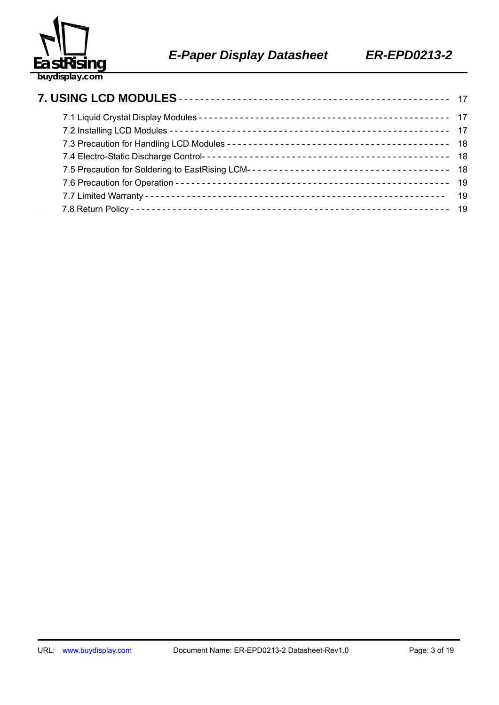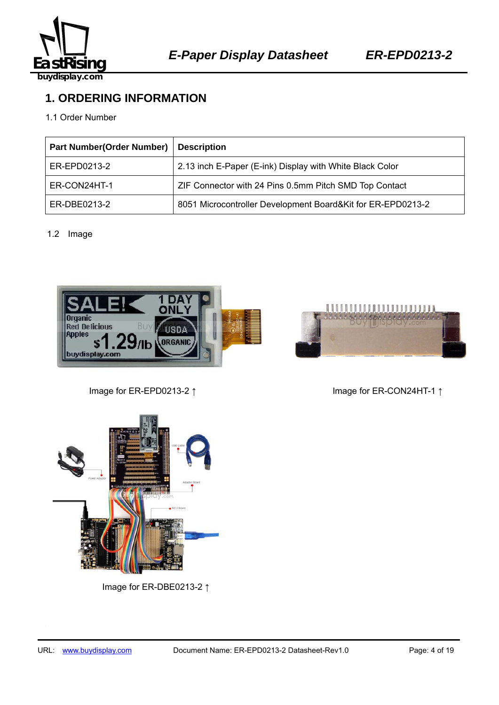

## **1. ORDERING INFORMATION**

#### 1.1 Order Number

| <b>Part Number(Order Number)</b> | <b>Description</b>                                          |
|----------------------------------|-------------------------------------------------------------|
| ER-EPD0213-2                     | 2.13 inch E-Paper (E-ink) Display with White Black Color    |
| ER-CON24HT-1                     | ZIF Connector with 24 Pins 0.5mm Pitch SMD Top Contact      |
| ER-DBE0213-2                     | 8051 Microcontroller Development Board&Kit for ER-EPD0213-2 |

#### 1.2 Image





Image for ER-EPD0213-2 ↑ Image for ER-CON24HT-1 ↑



Image for ER-DBE0213-2 ↑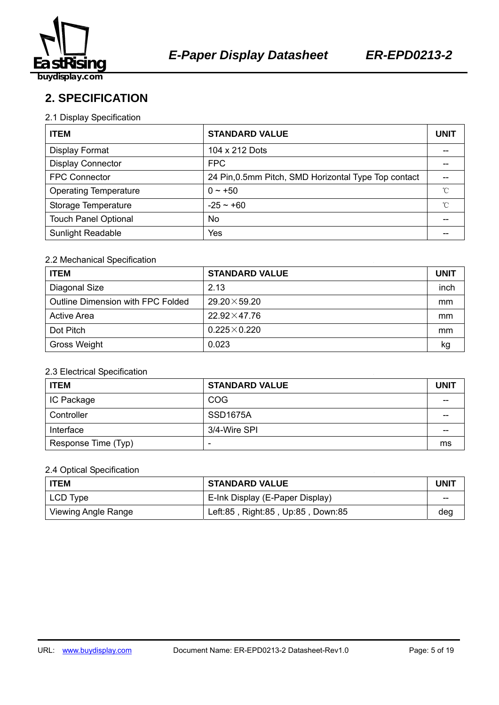

## **2. SPECIFICATION**

#### 2.1 Display Specification

| <b>ITEM</b>                  | <b>STANDARD VALUE</b>                                | <b>UNIT</b> |
|------------------------------|------------------------------------------------------|-------------|
| Display Format               | 104 x 212 Dots                                       |             |
| <b>Display Connector</b>     | <b>FPC</b>                                           |             |
| <b>FPC Connector</b>         | 24 Pin, 0.5mm Pitch, SMD Horizontal Type Top contact |             |
| <b>Operating Temperature</b> | $0 \sim +50$                                         | °C          |
| Storage Temperature          | $-25 - +60$                                          | °C          |
| <b>Touch Panel Optional</b>  | No                                                   |             |
| <b>Sunlight Readable</b>     | Yes                                                  |             |

#### 2.2 Mechanical Specification

| <b>ITEM</b>                       | <b>STANDARD VALUE</b> | <b>UNIT</b> |
|-----------------------------------|-----------------------|-------------|
| Diagonal Size                     | 2.13                  | inch        |
| Outline Dimension with FPC Folded | $29.20 \times 59.20$  | mm          |
| <b>Active Area</b>                | $22.92 \times 47.76$  | mm          |
| Dot Pitch                         | $0.225\times0.220$    | mm          |
| Gross Weight                      | 0.023                 | kg          |

#### 2.3 Electrical Specification

| <b>ITEM</b>         | <b>STANDARD VALUE</b>    | <b>UNIT</b> |
|---------------------|--------------------------|-------------|
| <b>IC Package</b>   | <b>COG</b>               |             |
| Controller          | SSD <sub>1675</sub> A    | --          |
| Interface           | 3/4-Wire SPI             | --          |
| Response Time (Typ) | $\overline{\phantom{0}}$ | ms          |

#### 2.4 Optical Specification

| <b>ITEM</b>                | <b>STANDARD VALUE</b>             | UNIT |
|----------------------------|-----------------------------------|------|
| LCD Type                   | E-Ink Display (E-Paper Display)   | --   |
| <b>Viewing Angle Range</b> | Left:85, Right:85, Up:85, Down:85 | deg  |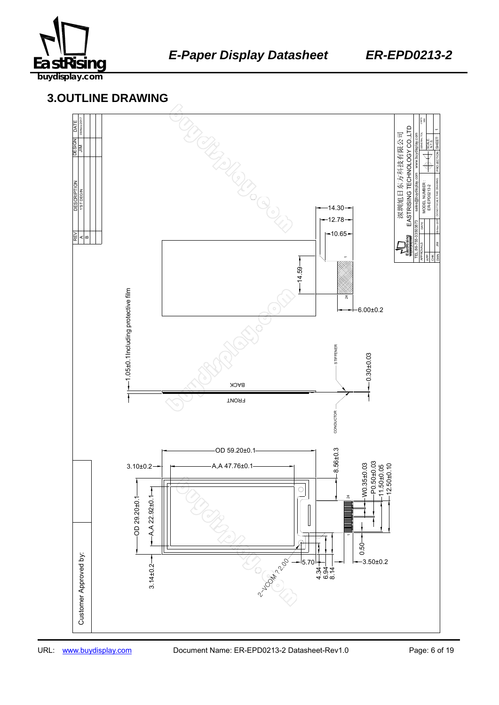

## 459B137645 **3.OUTLINE DRAWING**

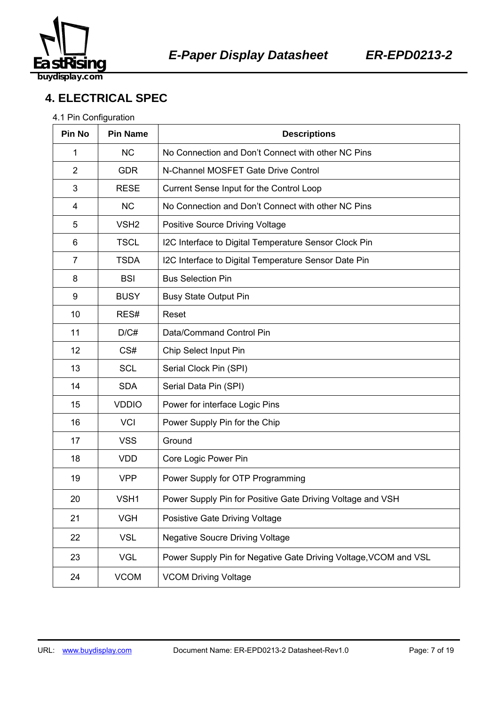

## **4. ELECTRICAL SPEC**

#### 4.1 Pin Configuration

| Pin No         | <b>Pin Name</b>  | <b>Descriptions</b>                                              |  |  |
|----------------|------------------|------------------------------------------------------------------|--|--|
| 1              | <b>NC</b>        | No Connection and Don't Connect with other NC Pins               |  |  |
| $\overline{2}$ | <b>GDR</b>       | N-Channel MOSFET Gate Drive Control                              |  |  |
| 3              | <b>RESE</b>      | Current Sense Input for the Control Loop                         |  |  |
| 4              | <b>NC</b>        | No Connection and Don't Connect with other NC Pins               |  |  |
| 5              | VSH <sub>2</sub> | <b>Positive Source Driving Voltage</b>                           |  |  |
| 6              | <b>TSCL</b>      | I2C Interface to Digital Temperature Sensor Clock Pin            |  |  |
| $\overline{7}$ | <b>TSDA</b>      | I2C Interface to Digital Temperature Sensor Date Pin             |  |  |
| 8              | <b>BSI</b>       | <b>Bus Selection Pin</b>                                         |  |  |
| 9              | <b>BUSY</b>      | <b>Busy State Output Pin</b>                                     |  |  |
| 10             | RES#             | Reset                                                            |  |  |
| 11             | D/C#             | Data/Command Control Pin                                         |  |  |
| 12             | CS#              | Chip Select Input Pin                                            |  |  |
| 13             | <b>SCL</b>       | Serial Clock Pin (SPI)                                           |  |  |
| 14             | <b>SDA</b>       | Serial Data Pin (SPI)                                            |  |  |
| 15             | <b>VDDIO</b>     | Power for interface Logic Pins                                   |  |  |
| 16             | <b>VCI</b>       | Power Supply Pin for the Chip                                    |  |  |
| 17             | <b>VSS</b>       | Ground                                                           |  |  |
| 18             | <b>VDD</b>       | Core Logic Power Pin                                             |  |  |
| 19             | <b>VPP</b>       | Power Supply for OTP Programming                                 |  |  |
| 20             | VSH1             | Power Supply Pin for Positive Gate Driving Voltage and VSH       |  |  |
| 21             | <b>VGH</b>       | <b>Posistive Gate Driving Voltage</b>                            |  |  |
| 22             | <b>VSL</b>       | <b>Negative Soucre Driving Voltage</b>                           |  |  |
| 23             | <b>VGL</b>       | Power Supply Pin for Negative Gate Driving Voltage, VCOM and VSL |  |  |
| 24             | <b>VCOM</b>      | <b>VCOM Driving Voltage</b>                                      |  |  |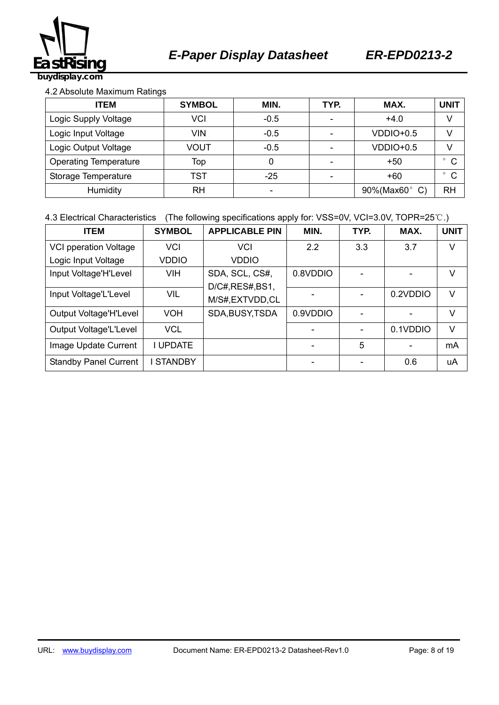

#### 4.2 Absolute Maximum Ratings

| <b>ITEM</b>                  | <b>SYMBOL</b> | MIN.   | TYP. | MAX.        | <b>UNIT</b>             |
|------------------------------|---------------|--------|------|-------------|-------------------------|
| Logic Supply Voltage         | VCI           | $-0.5$ | -    | $+4.0$      | V                       |
| Logic Input Voltage          | <b>VIN</b>    | $-0.5$ |      | $VDDIO+0.5$ | V                       |
| Logic Output Voltage         | VOUT          | $-0.5$ |      | $VDDIO+0.5$ |                         |
| <b>Operating Temperature</b> | Top           | 0      |      | $+50$       | C                       |
| Storage Temperature          | TST           | $-25$  |      | $+60$       | $\mathsf{C}$<br>$\circ$ |
| <b>RH</b><br>Humidity        |               |        |      | 90%(Max60°  | <b>RH</b>               |

#### 4.3 Electrical Characteristics (The following specifications apply for: VSS=0V, VCI=3.0V, TOPR=25℃.)

| <b>ITEM</b>                  | <b>SYMBOL</b>   | <b>APPLICABLE PIN</b> | MIN.     | TYP. | MAX.     | <b>UNIT</b> |
|------------------------------|-----------------|-----------------------|----------|------|----------|-------------|
| <b>VCI pperation Voltage</b> | <b>VCI</b>      | VCI                   | 2.2      | 3.3  | 3.7      | V           |
| Logic Input Voltage          | <b>VDDIO</b>    | <b>VDDIO</b>          |          |      |          |             |
| Input Voltage'H'Level        | VIH             | SDA, SCL, CS#,        | 0.8VDDIO |      |          | V           |
|                              |                 | D/C#, RES#, BS1,      |          |      |          |             |
| Input Voltage'L'Level        | <b>VIL</b>      | M/S#,EXTVDD,CL        |          |      | 0.2VDDIO | V           |
| Output Voltage'H'Level       | VOH             | SDA, BUSY, TSDA       | 0.9VDDIO |      |          | V           |
| Output Voltage'L'Level       | <b>VCL</b>      |                       |          |      | 0.1VDDIO | $\vee$      |
| Image Update Current         | <b>I UPDATE</b> |                       |          | 5    |          | mA          |
| <b>Standby Panel Current</b> | <b>STANDBY</b>  |                       |          |      | 0.6      | uA          |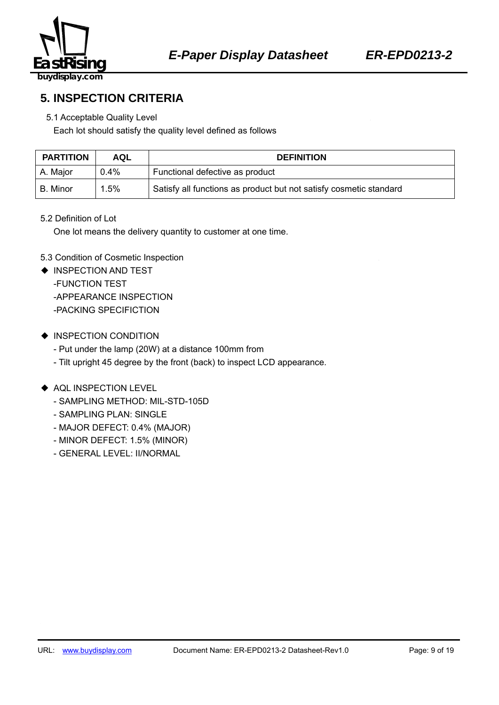

## **5. INSPECTION CRITERIA**

#### 5.1 Acceptable Quality Level

Each lot should satisfy the quality level defined as follows

| <b>PARTITION</b> | AQL     | <b>DEFINITION</b>                                                  |  |  |
|------------------|---------|--------------------------------------------------------------------|--|--|
| A. Major         | $0.4\%$ | Functional defective as product                                    |  |  |
| l B. Minor       | 1.5%    | Satisfy all functions as product but not satisfy cosmetic standard |  |  |

#### 5.2 Definition of Lot

One lot means the delivery quantity to customer at one time.

#### 5.3 Condition of Cosmetic Inspection

- ◆ INSPECTION AND TEST -FUNCTION TEST -APPEARANCE INSPECTION -PACKING SPECIFICTION
- ◆ INSPECTION CONDITION
	- Put under the lamp (20W) at a distance 100mm from
	- Tilt upright 45 degree by the front (back) to inspect LCD appearance.

#### ◆ AQL INSPECTION LEVEL

- SAMPLING METHOD: MIL-STD-105D
- SAMPLING PLAN: SINGLE
- MAJOR DEFECT: 0.4% (MAJOR)
- MINOR DEFECT: 1.5% (MINOR)
- GENERAL LEVEL: II/NORMAL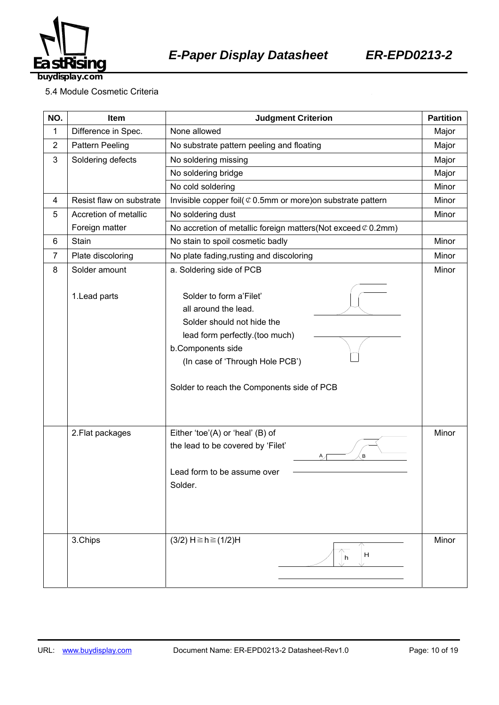

5.4 Module Cosmetic Criteria

| NO.              | Item                     | <b>Judgment Criterion</b>                                                                                                                                                                                             |       |
|------------------|--------------------------|-----------------------------------------------------------------------------------------------------------------------------------------------------------------------------------------------------------------------|-------|
| 1                | Difference in Spec.      | None allowed                                                                                                                                                                                                          | Major |
| $\boldsymbol{2}$ | <b>Pattern Peeling</b>   | No substrate pattern peeling and floating                                                                                                                                                                             | Major |
| 3                | Soldering defects        | No soldering missing                                                                                                                                                                                                  | Major |
|                  |                          | No soldering bridge                                                                                                                                                                                                   | Major |
|                  |                          | No cold soldering                                                                                                                                                                                                     | Minor |
| 4                | Resist flaw on substrate | Invisible copper foil( $\mathcal O$ 0.5mm or more) on substrate pattern                                                                                                                                               | Minor |
| 5                | Accretion of metallic    | No soldering dust                                                                                                                                                                                                     | Minor |
|                  | Foreign matter           | No accretion of metallic foreign matters (Not exceed $\mathcal{C}$ 0.2mm)                                                                                                                                             |       |
| 6                | Stain                    | No stain to spoil cosmetic badly                                                                                                                                                                                      | Minor |
| $\overline{7}$   | Plate discoloring        | No plate fading, rusting and discoloring                                                                                                                                                                              | Minor |
| 8                | Solder amount            | a. Soldering side of PCB                                                                                                                                                                                              | Minor |
|                  | 1. Lead parts            | Solder to form a'Filet'<br>all around the lead.<br>Solder should not hide the<br>lead form perfectly.(too much)<br>b.Components side<br>(In case of 'Through Hole PCB')<br>Solder to reach the Components side of PCB |       |
|                  | 2. Flat packages         | Either 'toe'(A) or 'heal' (B) of<br>the lead to be covered by 'Filet'<br>B<br>Α.<br>Lead form to be assume over<br>Solder.                                                                                            | Minor |
|                  | 3.Chips                  | $(3/2)$ H ≥ h ≥ $(1/2)$ H<br>H<br>h                                                                                                                                                                                   | Minor |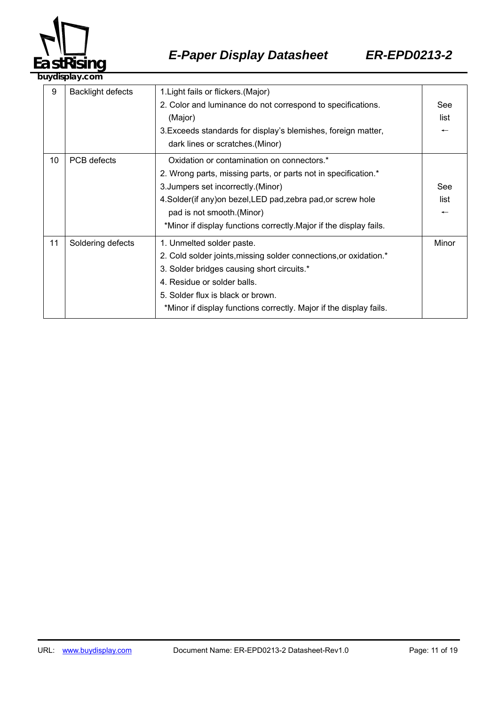

|    | . ,                      |                                                                    |                          |
|----|--------------------------|--------------------------------------------------------------------|--------------------------|
| 9  | <b>Backlight defects</b> | 1. Light fails or flickers. (Major)                                |                          |
|    |                          | 2. Color and luminance do not correspond to specifications.        | See                      |
|    |                          | (Major)                                                            | list                     |
|    |                          | 3. Exceeds standards for display's blemishes, foreign matter,      |                          |
|    |                          | dark lines or scratches.(Minor)                                    |                          |
| 10 | <b>PCB</b> defects       | Oxidation or contamination on connectors.*                         |                          |
|    |                          | 2. Wrong parts, missing parts, or parts not in specification.*     |                          |
|    |                          | 3. Jumpers set incorrectly. (Minor)                                | See                      |
|    |                          | 4. Solder (if any) on bezel, LED pad, zebra pad, or screw hole     | list                     |
|    |                          | pad is not smooth. (Minor)                                         | $\overline{\phantom{m}}$ |
|    |                          | *Minor if display functions correctly. Major if the display fails. |                          |
| 11 | Soldering defects        | 1. Unmelted solder paste.                                          | Minor                    |
|    |                          | 2. Cold solder joints, missing solder connections, or oxidation.*  |                          |
|    |                          | 3. Solder bridges causing short circuits.*                         |                          |
|    |                          | 4. Residue or solder balls.                                        |                          |
|    |                          | 5. Solder flux is black or brown.                                  |                          |
|    |                          | *Minor if display functions correctly. Major if the display fails. |                          |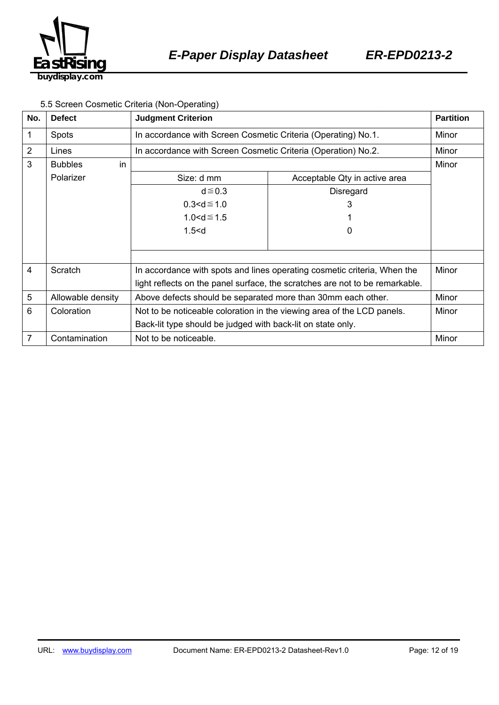

#### 5.5 Screen Cosmetic Criteria (Non-Operating)

| No.            | <b>Defect</b>        | <b>Judgment Criterion</b>                                                    |                               | <b>Partition</b> |
|----------------|----------------------|------------------------------------------------------------------------------|-------------------------------|------------------|
| 1              | <b>Spots</b>         | In accordance with Screen Cosmetic Criteria (Operating) No.1.                |                               | Minor            |
| $\overline{2}$ | Lines                | In accordance with Screen Cosmetic Criteria (Operation) No.2.                |                               | Minor            |
| 3              | in<br><b>Bubbles</b> |                                                                              |                               | Minor            |
|                | Polarizer            | Size: d mm                                                                   | Acceptable Qty in active area |                  |
|                |                      | $d \le 0.3$                                                                  | Disregard                     |                  |
|                |                      | $0.3 < d \le 1.0$                                                            | 3                             |                  |
|                |                      | $1.0 < d \le 1.5$                                                            |                               |                  |
|                |                      | 1.5 < d                                                                      | 0                             |                  |
|                |                      |                                                                              |                               |                  |
|                |                      |                                                                              |                               |                  |
| 4              | Scratch              | In accordance with spots and lines operating cosmetic criteria, When the     |                               | Minor            |
|                |                      | light reflects on the panel surface, the scratches are not to be remarkable. |                               |                  |
| 5              | Allowable density    | Above defects should be separated more than 30mm each other.                 |                               | Minor            |
| 6              | Coloration           | Not to be noticeable coloration in the viewing area of the LCD panels.       |                               | Minor            |
|                |                      | Back-lit type should be judged with back-lit on state only.                  |                               |                  |
| 7              | Contamination        | Not to be noticeable.                                                        |                               | Minor            |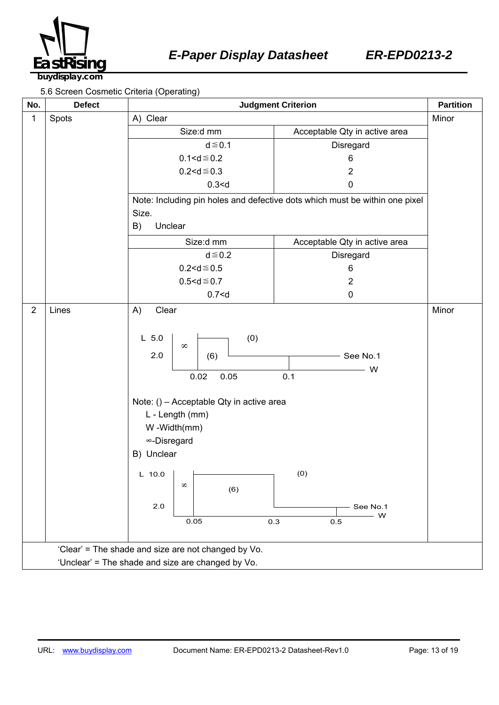

5.6 Screen Cosmetic Criteria (Operating)

| No.                                                 | <b>Defect</b>                                     | among antona (abording)<br><b>Judgment Criterion</b>                                                                                                                                                                                 |                                                                             |       |  |
|-----------------------------------------------------|---------------------------------------------------|--------------------------------------------------------------------------------------------------------------------------------------------------------------------------------------------------------------------------------------|-----------------------------------------------------------------------------|-------|--|
| 1                                                   | Spots                                             | A) Clear                                                                                                                                                                                                                             |                                                                             | Minor |  |
|                                                     |                                                   | Size:d mm                                                                                                                                                                                                                            | Acceptable Qty in active area                                               |       |  |
|                                                     |                                                   | $d \leq 0.1$                                                                                                                                                                                                                         | Disregard                                                                   |       |  |
|                                                     |                                                   | $0.1 < d \le 0.2$                                                                                                                                                                                                                    | 6                                                                           |       |  |
|                                                     |                                                   | $0.2 < d \le 0.3$                                                                                                                                                                                                                    | $\overline{2}$                                                              |       |  |
|                                                     |                                                   | 0.3 < d                                                                                                                                                                                                                              | $\pmb{0}$                                                                   |       |  |
|                                                     |                                                   | Size.                                                                                                                                                                                                                                | Note: Including pin holes and defective dots which must be within one pixel |       |  |
|                                                     |                                                   | B)<br>Unclear                                                                                                                                                                                                                        |                                                                             |       |  |
|                                                     |                                                   | Size:d mm                                                                                                                                                                                                                            | Acceptable Qty in active area                                               |       |  |
|                                                     |                                                   | $d \leq 0.2$                                                                                                                                                                                                                         | Disregard                                                                   |       |  |
|                                                     |                                                   | $0.2 < d \le 0.5$                                                                                                                                                                                                                    | 6                                                                           |       |  |
|                                                     |                                                   | $0.5 < d \le 0.7$                                                                                                                                                                                                                    | $\overline{c}$                                                              |       |  |
|                                                     |                                                   | 0.7 < d                                                                                                                                                                                                                              | $\pmb{0}$                                                                   |       |  |
| $\overline{2}$                                      | Lines                                             | Clear<br>A)<br>(0)<br>$L$ 5.0<br>$\infty$<br>2.0<br>(6)<br>0.05<br>0.02<br>Note: () - Acceptable Qty in active area<br>L - Length (mm)<br>W-Width(mm)<br>∞-Disregard<br>B) Unclear<br>$L$ 10.0<br>$\infty$<br>(6)<br>$2.0\,$<br>0.05 | $-$ See No.1<br>W<br>0.1<br>(0)<br>See No.1<br>W<br>0.3<br>0.5              | Minor |  |
| 'Clear' = The shade and size are not changed by Vo. |                                                   |                                                                                                                                                                                                                                      |                                                                             |       |  |
|                                                     | 'Unclear' = The shade and size are changed by Vo. |                                                                                                                                                                                                                                      |                                                                             |       |  |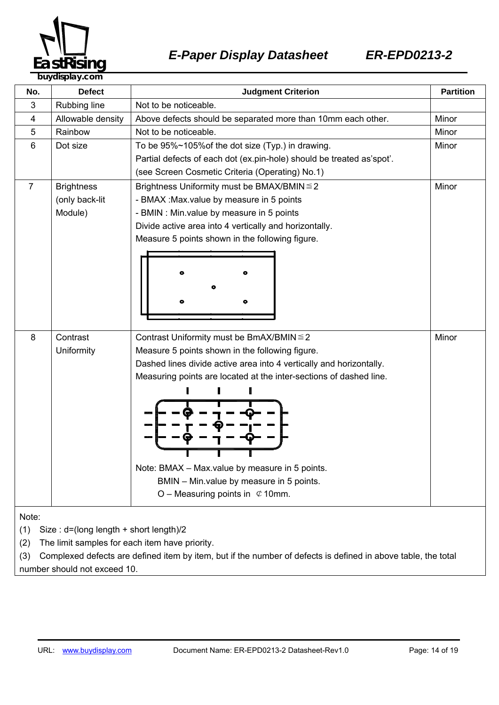

| No.                                                                                                                  | <b>Defect</b>     | <b>Partition</b><br><b>Judgment Criterion</b>                         |       |
|----------------------------------------------------------------------------------------------------------------------|-------------------|-----------------------------------------------------------------------|-------|
| 3                                                                                                                    | Rubbing line      | Not to be noticeable.                                                 |       |
| 4                                                                                                                    | Allowable density | Above defects should be separated more than 10mm each other.          | Minor |
| 5                                                                                                                    | Rainbow           | Not to be noticeable.                                                 | Minor |
| 6                                                                                                                    | Dot size          | To be 95%~105% of the dot size (Typ.) in drawing.                     | Minor |
|                                                                                                                      |                   | Partial defects of each dot (ex.pin-hole) should be treated as'spot'. |       |
|                                                                                                                      |                   | (see Screen Cosmetic Criteria (Operating) No.1)                       |       |
| $\overline{7}$                                                                                                       | <b>Brightness</b> | Brightness Uniformity must be BMAX/BMIN ≤ 2<br>Minor                  |       |
|                                                                                                                      | (only back-lit    | - BMAX : Max.value by measure in 5 points                             |       |
|                                                                                                                      | Module)           | - BMIN : Min.value by measure in 5 points                             |       |
|                                                                                                                      |                   | Divide active area into 4 vertically and horizontally.                |       |
|                                                                                                                      |                   | Measure 5 points shown in the following figure.                       |       |
|                                                                                                                      |                   |                                                                       |       |
|                                                                                                                      |                   |                                                                       |       |
|                                                                                                                      |                   |                                                                       |       |
|                                                                                                                      |                   |                                                                       |       |
|                                                                                                                      |                   |                                                                       |       |
|                                                                                                                      |                   |                                                                       |       |
| 8                                                                                                                    | Contrast          | Contrast Uniformity must be BmAX/BMIN ≤ 2<br>Minor                    |       |
|                                                                                                                      | Uniformity        | Measure 5 points shown in the following figure.                       |       |
|                                                                                                                      |                   | Dashed lines divide active area into 4 vertically and horizontally.   |       |
|                                                                                                                      |                   | Measuring points are located at the inter-sections of dashed line.    |       |
|                                                                                                                      |                   |                                                                       |       |
|                                                                                                                      |                   |                                                                       |       |
|                                                                                                                      |                   |                                                                       |       |
|                                                                                                                      |                   |                                                                       |       |
|                                                                                                                      |                   |                                                                       |       |
|                                                                                                                      |                   |                                                                       |       |
|                                                                                                                      |                   | Note: BMAX - Max.value by measure in 5 points.                        |       |
|                                                                                                                      |                   | BMIN - Min.value by measure in 5 points.                              |       |
|                                                                                                                      |                   | O – Measuring points in $\mathfrak{C}$ 10mm.                          |       |
|                                                                                                                      |                   |                                                                       |       |
| Note:                                                                                                                |                   |                                                                       |       |
| (1)<br>Size: d=(long length + short length)/2                                                                        |                   |                                                                       |       |
| The limit samples for each item have priority.<br>(2)                                                                |                   |                                                                       |       |
| Complexed defects are defined item by item, but if the number of defects is defined in above table, the total<br>(3) |                   |                                                                       |       |

number should not exceed 10.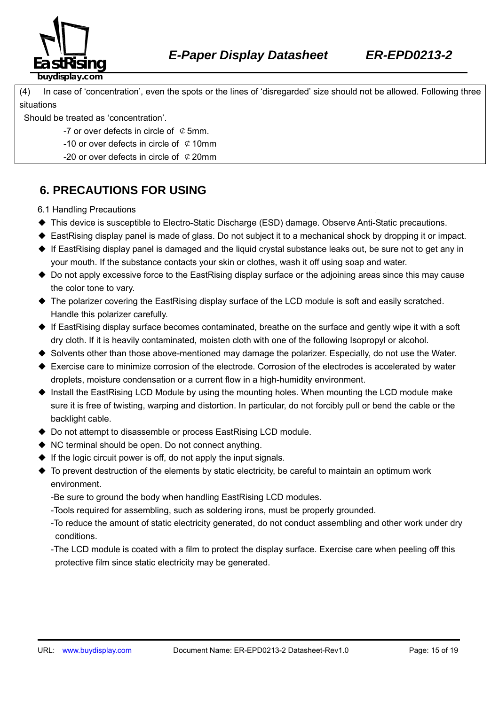

(4) In case of 'concentration', even the spots or the lines of 'disregarded' size should not be allowed. Following three situations

Should be treated as 'concentration'.

- -7 or over defects in circle of  $\mathcal Q$  5mm.
- -10 or over defects in circle of  $\mathcal Q$  10mm
- -20 or over defects in circle of  $\mathcal{C}$  20mm

### **6. PRECAUTIONS FOR USING**

6.1 Handling Precautions

- ◆ This device is susceptible to Electro-Static Discharge (ESD) damage. Observe Anti-Static precautions.
- ◆ EastRising display panel is made of glass. Do not subject it to a mechanical shock by dropping it or impact.
- ◆ If EastRising display panel is damaged and the liquid crystal substance leaks out, be sure not to get any in your mouth. If the substance contacts your skin or clothes, wash it off using soap and water.
- ◆ Do not apply excessive force to the EastRising display surface or the adjoining areas since this may cause the color tone to vary.
- ◆ The polarizer covering the EastRising display surface of the LCD module is soft and easily scratched. Handle this polarizer carefully.
- ◆ If EastRising display surface becomes contaminated, breathe on the surface and gently wipe it with a soft dry cloth. If it is heavily contaminated, moisten cloth with one of the following Isopropyl or alcohol.
- ◆ Solvents other than those above-mentioned may damage the polarizer. Especially, do not use the Water.
- ◆ Exercise care to minimize corrosion of the electrode. Corrosion of the electrodes is accelerated by water droplets, moisture condensation or a current flow in a high-humidity environment.
- ◆ Install the EastRising LCD Module by using the mounting holes. When mounting the LCD module make sure it is free of twisting, warping and distortion. In particular, do not forcibly pull or bend the cable or the backlight cable.
- ◆ Do not attempt to disassemble or process EastRising LCD module.
- ◆ NC terminal should be open. Do not connect anything.
- $\blacklozenge$  If the logic circuit power is off, do not apply the input signals.
- ◆ To prevent destruction of the elements by static electricity, be careful to maintain an optimum work environment.
	- -Be sure to ground the body when handling EastRising LCD modules.
	- -Tools required for assembling, such as soldering irons, must be properly grounded.
	- -To reduce the amount of static electricity generated, do not conduct assembling and other work under dry conditions.
	- -The LCD module is coated with a film to protect the display surface. Exercise care when peeling off this protective film since static electricity may be generated.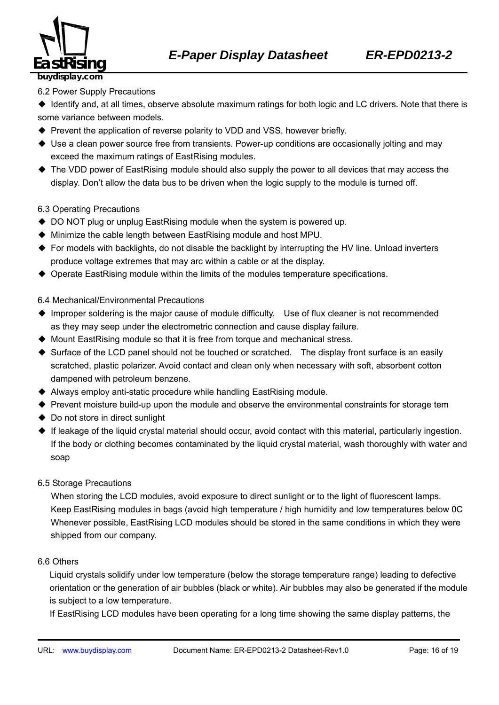

#### 6.2 Power Supply Precautions

◆ Identify and, at all times, observe absolute maximum ratings for both logic and LC drivers. Note that there is some variance between models.

- ◆ Prevent the application of reverse polarity to VDD and VSS, however briefly.
- ◆ Use a clean power source free from transients. Power-up conditions are occasionally jolting and may exceed the maximum ratings of EastRising modules.
- ◆ The VDD power of EastRising module should also supply the power to all devices that may access the display. Don't allow the data bus to be driven when the logic supply to the module is turned off.

#### 6.3 Operating Precautions

- ◆ DO NOT plug or unplug EastRising module when the system is powered up.
- ◆ Minimize the cable length between EastRising module and host MPU.
- ◆ For models with backlights, do not disable the backlight by interrupting the HV line. Unload inverters produce voltage extremes that may arc within a cable or at the display.
- ◆ Operate EastRising module within the limits of the modules temperature specifications.

#### 6.4 Mechanical/Environmental Precautions

- ◆ Improper soldering is the major cause of module difficulty. Use of flux cleaner is not recommended as they may seep under the electrometric connection and cause display failure.
- ◆ Mount EastRising module so that it is free from torque and mechanical stress.
- ◆ Surface of the LCD panel should not be touched or scratched. The display front surface is an easily scratched, plastic polarizer. Avoid contact and clean only when necessary with soft, absorbent cotton dampened with petroleum benzene.
- ◆ Always employ anti-static procedure while handling EastRising module.
- ◆ Prevent moisture build-up upon the module and observe the environmental constraints for storage tem
- ◆ Do not store in direct sunlight
- ◆ If leakage of the liquid crystal material should occur, avoid contact with this material, particularly ingestion. If the body or clothing becomes contaminated by the liquid crystal material, wash thoroughly with water and soap
- 6.5 Storage Precautions

When storing the LCD modules, avoid exposure to direct sunlight or to the light of fluorescent lamps. 360B574Keep EastRising modules in bags (avoid high temperature / high humidity and low temperatures below 0C Whenever possible, EastRising LCD modules should be stored in the same conditions in which they were shipped from our company.

#### 6.6 Others <sup>H</sup> <sup>H</sup>

Liquid crystals solidify under low temperature (below the storage temperature range) leading to defective orientation or the generation of air bubbles (black or white). Air bubbles may also be generated if the module is subject to a low temperature.

If EastRising LCD modules have been operating for a long time showing the same display patterns, the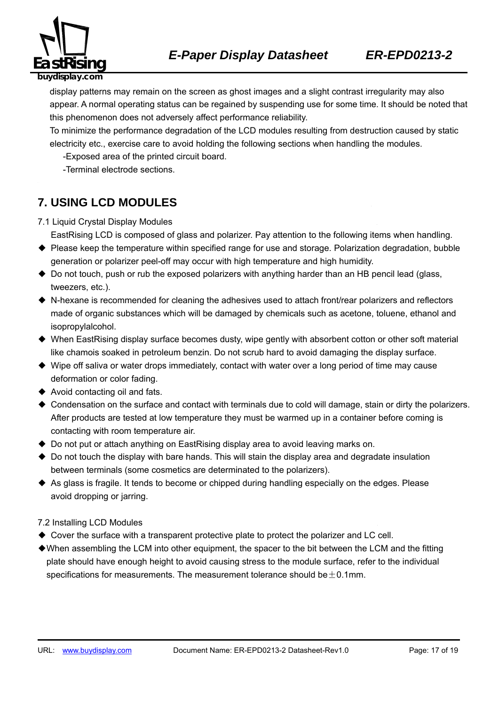

display patterns may remain on the screen as ghost images and a slight contrast irregularity may also appear. A normal operating status can be regained by suspending use for some time. It should be noted that this phenomenon does not adversely affect performance reliability.

To minimize the performance degradation of the LCD modules resulting from destruction caused by static electricity etc., exercise care to avoid holding the following sections when handling the modules.

-Exposed area of the printed circuit board.

-Terminal electrode sections.

### **7. USING LCD MODULES**

- 7.1 Liquid Crystal Display Modules
	- EastRising LCD is composed of glass and polarizer. Pay attention to the following items when handling.
- ◆ Please keep the temperature within specified range for use and storage. Polarization degradation, bubble generation or polarizer peel-off may occur with high temperature and high humidity.
- ◆ Do not touch, push or rub the exposed polarizers with anything harder than an HB pencil lead (glass, tweezers, etc.).
- ◆ N-hexane is recommended for cleaning the adhesives used to attach front/rear polarizers and reflectors made of organic substances which will be damaged by chemicals such as acetone, toluene, ethanol and isopropylalcohol.
- ◆ When EastRising display surface becomes dusty, wipe gently with absorbent cotton or other soft material like chamois soaked in petroleum benzin. Do not scrub hard to avoid damaging the display surface.
- ◆ Wipe off saliva or water drops immediately, contact with water over a long period of time may cause deformation or color fading.
- ◆ Avoid contacting oil and fats.
- ◆ Condensation on the surface and contact with terminals due to cold will damage, stain or dirty the polarizers. After products are tested at low temperature they must be warmed up in a container before coming is contacting with room temperature air.
- ◆ Do not put or attach anything on EastRising display area to avoid leaving marks on.
- ◆ Do not touch the display with bare hands. This will stain the display area and degradate insulation between terminals (some cosmetics are determinated to the polarizers).
- ◆ As glass is fragile. It tends to become or chipped during handling especially on the edges. Please avoid dropping or jarring.

#### 7.2 Installing LCD Modules

- ◆ Cover the surface with a transparent protective plate to protect the polarizer and LC cell.
- ◆When assembling the LCM into other equipment, the spacer to the bit between the LCM and the fitting plate should have enough height to avoid causing stress to the module surface, refer to the individual specifications for measurements. The measurement tolerance should be  $\pm$  0.1mm.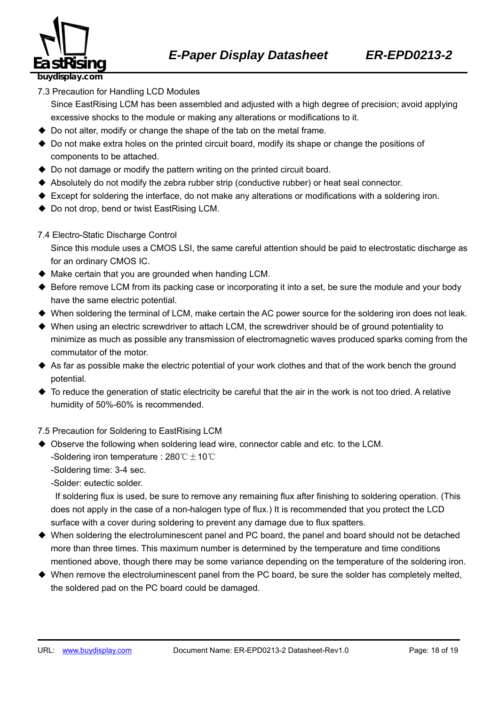

7.3 Precaution for Handling LCD Modules

Since EastRising LCM has been assembled and adjusted with a high degree of precision; avoid applying excessive shocks to the module or making any alterations or modifications to it.

- ◆ Do not alter, modify or change the shape of the tab on the metal frame.
- ◆ Do not make extra holes on the printed circuit board, modify its shape or change the positions of components to be attached.
- ◆ Do not damage or modify the pattern writing on the printed circuit board.
- ◆ Absolutely do not modify the zebra rubber strip (conductive rubber) or heat seal connector.
- ◆ Except for soldering the interface, do not make any alterations or modifications with a soldering iron.
- ◆ Do not drop, bend or twist EastRising LCM.
- 7.4 Electro-Static Discharge Control

Since this module uses a CMOS LSI, the same careful attention should be paid to electrostatic discharge as for an ordinary CMOS IC.

- $\blacklozenge$  Make certain that you are grounded when handing LCM.
- ◆ Before remove LCM from its packing case or incorporating it into a set, be sure the module and your body have the same electric potential.
- ◆ When soldering the terminal of LCM, make certain the AC power source for the soldering iron does not leak.
- ◆ When using an electric screwdriver to attach LCM, the screwdriver should be of ground potentiality to minimize as much as possible any transmission of electromagnetic waves produced sparks coming from the commutator of the motor.
- ◆ As far as possible make the electric potential of your work clothes and that of the work bench the ground potential.
- $\blacklozenge$  To reduce the generation of static electricity be careful that the air in the work is not too dried. A relative humidity of 50%-60% is recommended.

7.5 Precaution for Soldering to EastRising LCM

- ◆ Observe the following when soldering lead wire, connector cable and etc. to the LCM. -Soldering iron temperature : 280℃ $±$ 10℃
	- -Soldering time: 3-4 sec.

-Solder: eutectic solder.

If soldering flux is used, be sure to remove any remaining flux after finishing to soldering operation. (This does not apply in the case of a non-halogen type of flux.) It is recommended that you protect the LCD surface with a cover during soldering to prevent any damage due to flux spatters.

- ◆ When soldering the electroluminescent panel and PC board, the panel and board should not be detached more than three times. This maximum number is determined by the temperature and time conditions mentioned above, though there may be some variance depending on the temperature of the soldering iron.
- ◆ When remove the electroluminescent panel from the PC board, be sure the solder has completely melted, the soldered pad on the PC board could be damaged.